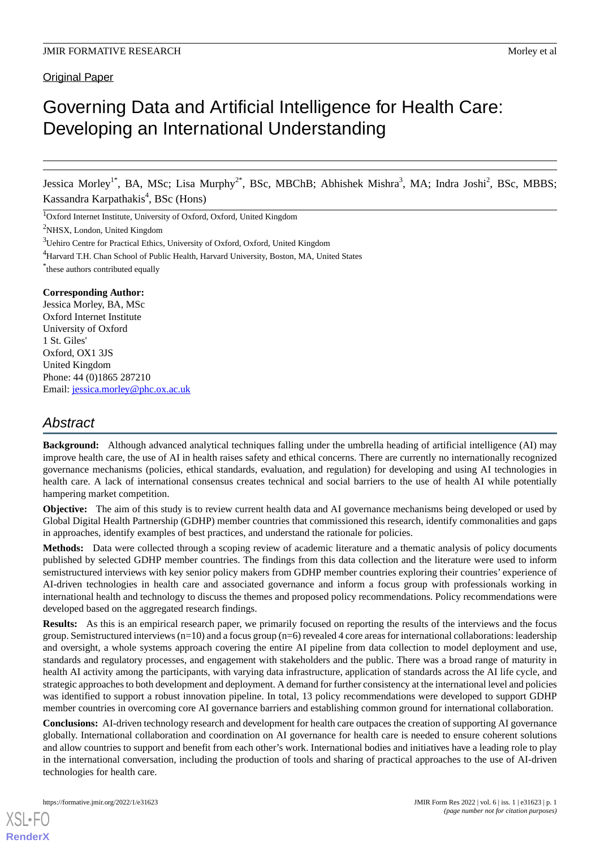# Governing Data and Artificial Intelligence for Health Care: Developing an International Understanding

Jessica Morley<sup>1\*</sup>, BA, MSc; Lisa Murphy<sup>2\*</sup>, BSc, MBChB; Abhishek Mishra<sup>3</sup>, MA; Indra Joshi<sup>2</sup>, BSc, MBBS; Kassandra Karpathakis<sup>4</sup>, BSc (Hons)

<sup>1</sup>Oxford Internet Institute, University of Oxford, Oxford, United Kingdom

<sup>2</sup>NHSX, London, United Kingdom

<sup>3</sup>Uehiro Centre for Practical Ethics, University of Oxford, Oxford, United Kingdom

<sup>4</sup>Harvard T.H. Chan School of Public Health, Harvard University, Boston, MA, United States

\* these authors contributed equally

## **Corresponding Author:**

Jessica Morley, BA, MSc Oxford Internet Institute University of Oxford 1 St. Giles' Oxford, OX1 3JS United Kingdom Phone: 44 (0)1865 287210 Email: [jessica.morley@phc.ox.ac.uk](mailto:jessica.morley@phc.ox.ac.uk)

# *Abstract*

**Background:** Although advanced analytical techniques falling under the umbrella heading of artificial intelligence (AI) may improve health care, the use of AI in health raises safety and ethical concerns. There are currently no internationally recognized governance mechanisms (policies, ethical standards, evaluation, and regulation) for developing and using AI technologies in health care. A lack of international consensus creates technical and social barriers to the use of health AI while potentially hampering market competition.

**Objective:** The aim of this study is to review current health data and AI governance mechanisms being developed or used by Global Digital Health Partnership (GDHP) member countries that commissioned this research, identify commonalities and gaps in approaches, identify examples of best practices, and understand the rationale for policies.

**Methods:** Data were collected through a scoping review of academic literature and a thematic analysis of policy documents published by selected GDHP member countries. The findings from this data collection and the literature were used to inform semistructured interviews with key senior policy makers from GDHP member countries exploring their countries' experience of AI-driven technologies in health care and associated governance and inform a focus group with professionals working in international health and technology to discuss the themes and proposed policy recommendations. Policy recommendations were developed based on the aggregated research findings.

Results: As this is an empirical research paper, we primarily focused on reporting the results of the interviews and the focus group. Semistructured interviews  $(n=10)$  and a focus group  $(n=6)$  revealed 4 core areas for international collaborations: leadership and oversight, a whole systems approach covering the entire AI pipeline from data collection to model deployment and use, standards and regulatory processes, and engagement with stakeholders and the public. There was a broad range of maturity in health AI activity among the participants, with varying data infrastructure, application of standards across the AI life cycle, and strategic approaches to both development and deployment. A demand for further consistency at the international level and policies was identified to support a robust innovation pipeline. In total, 13 policy recommendations were developed to support GDHP member countries in overcoming core AI governance barriers and establishing common ground for international collaboration.

**Conclusions:** AI-driven technology research and development for health care outpaces the creation of supporting AI governance globally. International collaboration and coordination on AI governance for health care is needed to ensure coherent solutions and allow countries to support and benefit from each other's work. International bodies and initiatives have a leading role to play in the international conversation, including the production of tools and sharing of practical approaches to the use of AI-driven technologies for health care.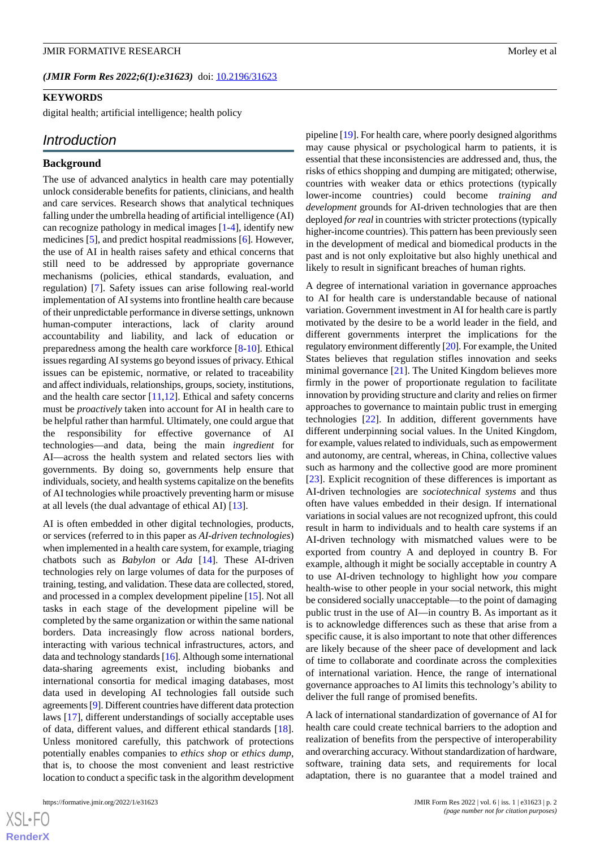#### **JMIR FORMATIVE RESEARCH More and SECONDER SECONDER SECONDER SECONDER SECONDER SECONDER SECONDER SECONDER SECONDER SECONDER SECONDER SECONDER SECONDER SECONDER SECONDER SECONDER SECONDER SECONDER SECONDER SECONDER SECONDER**

# **KEYWORDS**

digital health; artificial intelligence; health policy

# *Introduction*

#### **Background**

The use of advanced analytics in health care may potentially unlock considerable benefits for patients, clinicians, and health and care services. Research shows that analytical techniques falling under the umbrella heading of artificial intelligence (AI) can recognize pathology in medical images [\[1](#page-9-0)-[4\]](#page-9-1), identify new medicines [[5\]](#page-9-2), and predict hospital readmissions [\[6](#page-9-3)]. However, the use of AI in health raises safety and ethical concerns that still need to be addressed by appropriate governance mechanisms (policies, ethical standards, evaluation, and regulation) [[7\]](#page-9-4). Safety issues can arise following real-world implementation of AI systems into frontline health care because of their unpredictable performance in diverse settings, unknown human-computer interactions, lack of clarity around accountability and liability, and lack of education or preparedness among the health care workforce [\[8](#page-9-5)-[10\]](#page-9-6). Ethical issues regarding AI systems go beyond issues of privacy. Ethical issues can be epistemic, normative, or related to traceability and affect individuals, relationships, groups, society, institutions, and the health care sector  $[11,12]$  $[11,12]$  $[11,12]$  $[11,12]$ . Ethical and safety concerns must be *proactively* taken into account for AI in health care to be helpful rather than harmful. Ultimately, one could argue that the responsibility for effective governance of AI technologies—and data, being the main *ingredient* for AI—across the health system and related sectors lies with governments. By doing so, governments help ensure that individuals, society, and health systems capitalize on the benefits of AI technologies while proactively preventing harm or misuse at all levels (the dual advantage of ethical AI) [\[13](#page-9-9)].

AI is often embedded in other digital technologies, products, or services (referred to in this paper as *AI-driven technologies*) when implemented in a health care system, for example, triaging chatbots such as *Babylon* or *Ada* [[14\]](#page-10-0). These AI-driven technologies rely on large volumes of data for the purposes of training, testing, and validation. These data are collected, stored, and processed in a complex development pipeline [\[15](#page-10-1)]. Not all tasks in each stage of the development pipeline will be completed by the same organization or within the same national borders. Data increasingly flow across national borders, interacting with various technical infrastructures, actors, and data and technology standards [[16\]](#page-10-2). Although some international data-sharing agreements exist, including biobanks and international consortia for medical imaging databases, most data used in developing AI technologies fall outside such agreements [\[9\]](#page-9-10). Different countries have different data protection laws [[17\]](#page-10-3), different understandings of socially acceptable uses of data, different values, and different ethical standards [[18\]](#page-10-4). Unless monitored carefully, this patchwork of protections potentially enables companies to *ethics shop* or *ethics dump*, that is, to choose the most convenient and least restrictive location to conduct a specific task in the algorithm development pipeline [\[19](#page-10-5)]. For health care, where poorly designed algorithms may cause physical or psychological harm to patients, it is essential that these inconsistencies are addressed and, thus, the risks of ethics shopping and dumping are mitigated; otherwise, countries with weaker data or ethics protections (typically lower-income countries) could become *training and development* grounds for AI-driven technologies that are then deployed *for real*in countries with stricter protections (typically higher-income countries). This pattern has been previously seen in the development of medical and biomedical products in the past and is not only exploitative but also highly unethical and likely to result in significant breaches of human rights.

A degree of international variation in governance approaches to AI for health care is understandable because of national variation. Government investment in AI for health care is partly motivated by the desire to be a world leader in the field, and different governments interpret the implications for the regulatory environment differently [\[20](#page-10-6)]. For example, the United States believes that regulation stifles innovation and seeks minimal governance [\[21](#page-10-7)]. The United Kingdom believes more firmly in the power of proportionate regulation to facilitate innovation by providing structure and clarity and relies on firmer approaches to governance to maintain public trust in emerging technologies [[22\]](#page-10-8). In addition, different governments have different underpinning social values. In the United Kingdom, for example, values related to individuals, such as empowerment and autonomy, are central, whereas, in China, collective values such as harmony and the collective good are more prominent [[23\]](#page-10-9). Explicit recognition of these differences is important as AI-driven technologies are *sociotechnical systems* and thus often have values embedded in their design. If international variations in social values are not recognized upfront, this could result in harm to individuals and to health care systems if an AI-driven technology with mismatched values were to be exported from country A and deployed in country B. For example, although it might be socially acceptable in country A to use AI-driven technology to highlight how *you* compare health-wise to other people in your social network, this might be considered socially unacceptable—to the point of damaging public trust in the use of AI—in country B. As important as it is to acknowledge differences such as these that arise from a specific cause, it is also important to note that other differences are likely because of the sheer pace of development and lack of time to collaborate and coordinate across the complexities of international variation. Hence, the range of international governance approaches to AI limits this technology's ability to deliver the full range of promised benefits.

A lack of international standardization of governance of AI for health care could create technical barriers to the adoption and realization of benefits from the perspective of interoperability and overarching accuracy. Without standardization of hardware, software, training data sets, and requirements for local adaptation, there is no guarantee that a model trained and

 $XSI - F($ **[RenderX](http://www.renderx.com/)**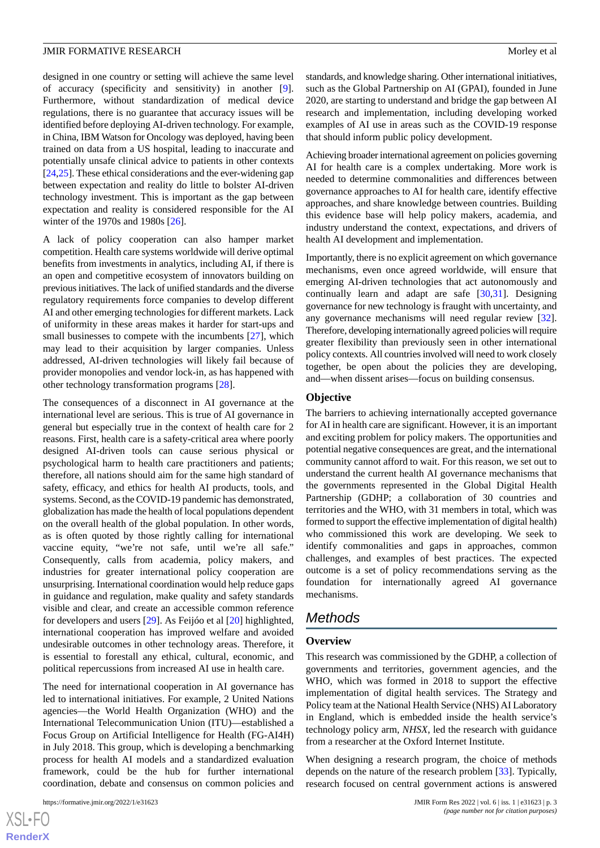designed in one country or setting will achieve the same level of accuracy (specificity and sensitivity) in another [[9\]](#page-9-10). Furthermore, without standardization of medical device regulations, there is no guarantee that accuracy issues will be identified before deploying AI-driven technology. For example, in China, IBM Watson for Oncology was deployed, having been trained on data from a US hospital, leading to inaccurate and potentially unsafe clinical advice to patients in other contexts [[24,](#page-10-10)[25](#page-10-11)]. These ethical considerations and the ever-widening gap between expectation and reality do little to bolster AI-driven technology investment. This is important as the gap between expectation and reality is considered responsible for the AI winter of the 1970s and 1980s [\[26](#page-10-12)].

A lack of policy cooperation can also hamper market competition. Health care systems worldwide will derive optimal benefits from investments in analytics, including AI, if there is an open and competitive ecosystem of innovators building on previous initiatives. The lack of unified standards and the diverse regulatory requirements force companies to develop different AI and other emerging technologies for different markets. Lack of uniformity in these areas makes it harder for start-ups and small businesses to compete with the incumbents [\[27](#page-10-13)], which may lead to their acquisition by larger companies. Unless addressed, AI-driven technologies will likely fail because of provider monopolies and vendor lock-in, as has happened with other technology transformation programs [[28\]](#page-10-14).

The consequences of a disconnect in AI governance at the international level are serious. This is true of AI governance in general but especially true in the context of health care for 2 reasons. First, health care is a safety-critical area where poorly designed AI-driven tools can cause serious physical or psychological harm to health care practitioners and patients; therefore, all nations should aim for the same high standard of safety, efficacy, and ethics for health AI products, tools, and systems. Second, as the COVID-19 pandemic has demonstrated, globalization has made the health of local populations dependent on the overall health of the global population. In other words, as is often quoted by those rightly calling for international vaccine equity, "we're not safe, until we're all safe." Consequently, calls from academia, policy makers, and industries for greater international policy cooperation are unsurprising. International coordination would help reduce gaps in guidance and regulation, make quality and safety standards visible and clear, and create an accessible common reference for developers and users [\[29](#page-10-15)]. As Feijóo et al [[20\]](#page-10-6) highlighted, international cooperation has improved welfare and avoided undesirable outcomes in other technology areas. Therefore, it is essential to forestall any ethical, cultural, economic, and political repercussions from increased AI use in health care.

The need for international cooperation in AI governance has led to international initiatives. For example, 2 United Nations agencies—the World Health Organization (WHO) and the International Telecommunication Union (ITU)—established a Focus Group on Artificial Intelligence for Health (FG-AI4H) in July 2018. This group, which is developing a benchmarking process for health AI models and a standardized evaluation framework, could be the hub for further international coordination, debate and consensus on common policies and

standards, and knowledge sharing. Other international initiatives, such as the Global Partnership on AI (GPAI), founded in June 2020, are starting to understand and bridge the gap between AI research and implementation, including developing worked examples of AI use in areas such as the COVID-19 response that should inform public policy development.

Achieving broader international agreement on policies governing AI for health care is a complex undertaking. More work is needed to determine commonalities and differences between governance approaches to AI for health care, identify effective approaches, and share knowledge between countries. Building this evidence base will help policy makers, academia, and industry understand the context, expectations, and drivers of health AI development and implementation.

Importantly, there is no explicit agreement on which governance mechanisms, even once agreed worldwide, will ensure that emerging AI-driven technologies that act autonomously and continually learn and adapt are safe [[30,](#page-10-16)[31](#page-10-17)]. Designing governance for new technology is fraught with uncertainty, and any governance mechanisms will need regular review [[32\]](#page-10-18). Therefore, developing internationally agreed policies will require greater flexibility than previously seen in other international policy contexts. All countries involved will need to work closely together, be open about the policies they are developing, and—when dissent arises—focus on building consensus.

#### **Objective**

The barriers to achieving internationally accepted governance for AI in health care are significant. However, it is an important and exciting problem for policy makers. The opportunities and potential negative consequences are great, and the international community cannot afford to wait. For this reason, we set out to understand the current health AI governance mechanisms that the governments represented in the Global Digital Health Partnership (GDHP; a collaboration of 30 countries and territories and the WHO, with 31 members in total, which was formed to support the effective implementation of digital health) who commissioned this work are developing. We seek to identify commonalities and gaps in approaches, common challenges, and examples of best practices. The expected outcome is a set of policy recommendations serving as the foundation for internationally agreed AI governance mechanisms.

# *Methods*

#### **Overview**

This research was commissioned by the GDHP, a collection of governments and territories, government agencies, and the WHO, which was formed in 2018 to support the effective implementation of digital health services. The Strategy and Policy team at the National Health Service (NHS) AI Laboratory in England, which is embedded inside the health service's technology policy arm, *NHSX*, led the research with guidance from a researcher at the Oxford Internet Institute.

When designing a research program, the choice of methods depends on the nature of the research problem [[33\]](#page-10-19). Typically, research focused on central government actions is answered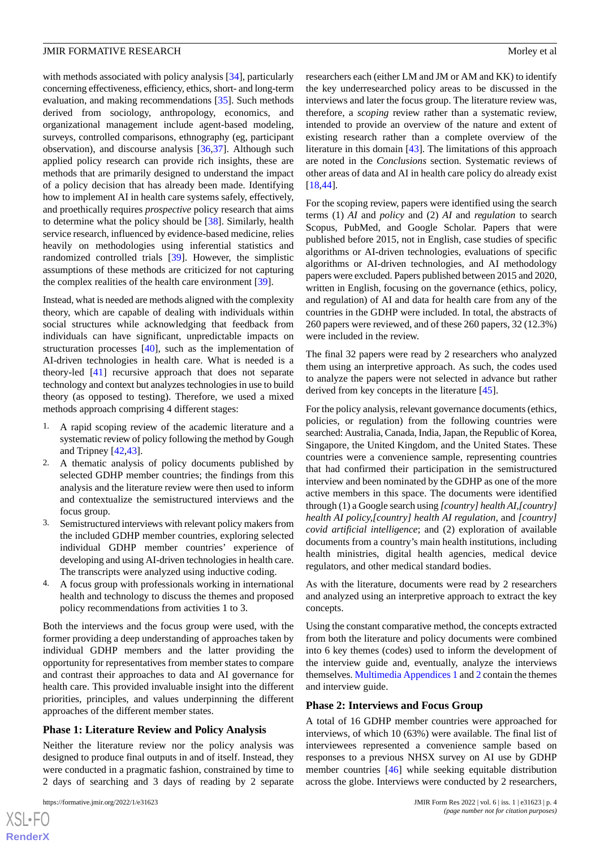with methods associated with policy analysis [\[34](#page-10-20)], particularly concerning effectiveness, efficiency, ethics, short- and long-term evaluation, and making recommendations [\[35](#page-10-21)]. Such methods derived from sociology, anthropology, economics, and organizational management include agent-based modeling, surveys, controlled comparisons, ethnography (eg, participant observation), and discourse analysis [[36,](#page-10-22)[37\]](#page-10-23). Although such applied policy research can provide rich insights, these are methods that are primarily designed to understand the impact of a policy decision that has already been made. Identifying how to implement AI in health care systems safely, effectively, and proethically requires *prospective* policy research that aims to determine what the policy should be [\[38](#page-10-24)]. Similarly, health service research, influenced by evidence-based medicine, relies heavily on methodologies using inferential statistics and randomized controlled trials [\[39](#page-10-25)]. However, the simplistic assumptions of these methods are criticized for not capturing the complex realities of the health care environment [[39\]](#page-10-25).

Instead, what is needed are methods aligned with the complexity theory, which are capable of dealing with individuals within social structures while acknowledging that feedback from individuals can have significant, unpredictable impacts on structuration processes [[40\]](#page-11-0), such as the implementation of AI-driven technologies in health care. What is needed is a theory-led [[41\]](#page-11-1) recursive approach that does not separate technology and context but analyzes technologies in use to build theory (as opposed to testing). Therefore, we used a mixed methods approach comprising 4 different stages:

- 1. A rapid scoping review of the academic literature and a systematic review of policy following the method by Gough and Tripney [[42,](#page-11-2)[43\]](#page-11-3).
- 2. A thematic analysis of policy documents published by selected GDHP member countries; the findings from this analysis and the literature review were then used to inform and contextualize the semistructured interviews and the focus group.
- 3. Semistructured interviews with relevant policy makers from the included GDHP member countries, exploring selected individual GDHP member countries' experience of developing and using AI-driven technologies in health care. The transcripts were analyzed using inductive coding.
- 4. A focus group with professionals working in international health and technology to discuss the themes and proposed policy recommendations from activities 1 to 3.

Both the interviews and the focus group were used, with the former providing a deep understanding of approaches taken by individual GDHP members and the latter providing the opportunity for representatives from member states to compare and contrast their approaches to data and AI governance for health care. This provided invaluable insight into the different priorities, principles, and values underpinning the different approaches of the different member states.

## **Phase 1: Literature Review and Policy Analysis**

Neither the literature review nor the policy analysis was designed to produce final outputs in and of itself. Instead, they were conducted in a pragmatic fashion, constrained by time to 2 days of searching and 3 days of reading by 2 separate

researchers each (either LM and JM or AM and KK) to identify the key underresearched policy areas to be discussed in the interviews and later the focus group. The literature review was, therefore, a *scoping* review rather than a systematic review, intended to provide an overview of the nature and extent of existing research rather than a complete overview of the literature in this domain [[43\]](#page-11-3). The limitations of this approach are noted in the *Conclusions* section. Systematic reviews of other areas of data and AI in health care policy do already exist [[18,](#page-10-4)[44\]](#page-11-4).

For the scoping review, papers were identified using the search terms (1) *AI* and *policy* and (2) *AI* and *regulation* to search Scopus, PubMed, and Google Scholar. Papers that were published before 2015, not in English, case studies of specific algorithms or AI-driven technologies, evaluations of specific algorithms or AI-driven technologies, and AI methodology papers were excluded. Papers published between 2015 and 2020, written in English, focusing on the governance (ethics, policy, and regulation) of AI and data for health care from any of the countries in the GDHP were included. In total, the abstracts of 260 papers were reviewed, and of these 260 papers, 32 (12.3%) were included in the review.

The final 32 papers were read by 2 researchers who analyzed them using an interpretive approach. As such, the codes used to analyze the papers were not selected in advance but rather derived from key concepts in the literature [[45\]](#page-11-5).

For the policy analysis, relevant governance documents (ethics, policies, or regulation) from the following countries were searched: Australia, Canada, India, Japan, the Republic of Korea, Singapore, the United Kingdom, and the United States. These countries were a convenience sample, representing countries that had confirmed their participation in the semistructured interview and been nominated by the GDHP as one of the more active members in this space. The documents were identified through (1) a Google search using *[country] health AI,[country] health AI policy,[country] health AI regulation*, and *[country] covid artificial intelligence*; and (2) exploration of available documents from a country's main health institutions, including health ministries, digital health agencies, medical device regulators, and other medical standard bodies.

As with the literature, documents were read by 2 researchers and analyzed using an interpretive approach to extract the key concepts.

Using the constant comparative method, the concepts extracted from both the literature and policy documents were combined into 6 key themes (codes) used to inform the development of the interview guide and, eventually, analyze the interviews themselves. [Multimedia Appendices 1](#page-9-11) and [2](#page-9-12) contain the themes and interview guide.

#### **Phase 2: Interviews and Focus Group**

A total of 16 GDHP member countries were approached for interviews, of which 10 (63%) were available. The final list of interviewees represented a convenience sample based on responses to a previous NHSX survey on AI use by GDHP member countries [[46\]](#page-11-6) while seeking equitable distribution across the globe. Interviews were conducted by 2 researchers,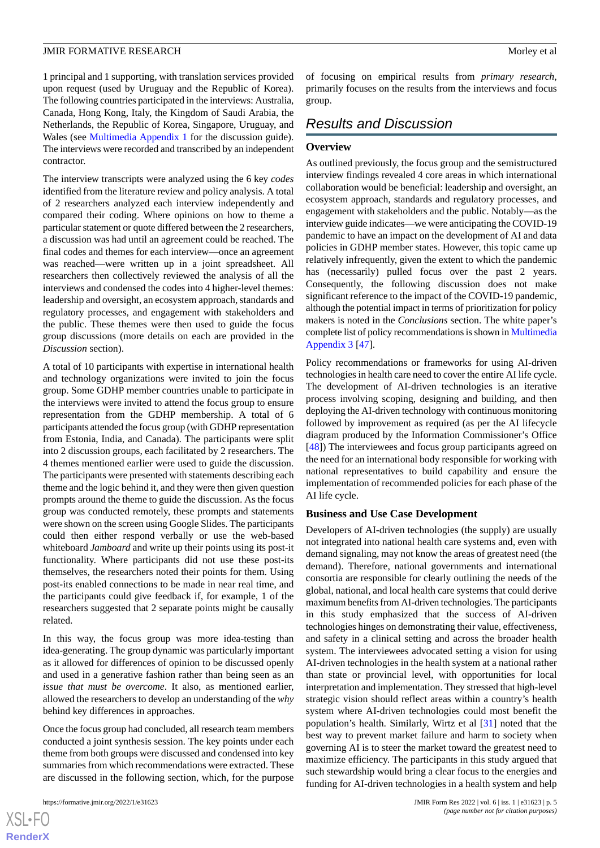1 principal and 1 supporting, with translation services provided upon request (used by Uruguay and the Republic of Korea). The following countries participated in the interviews: Australia, Canada, Hong Kong, Italy, the Kingdom of Saudi Arabia, the Netherlands, the Republic of Korea, Singapore, Uruguay, and Wales (see [Multimedia Appendix 1](#page-9-11) for the discussion guide). The interviews were recorded and transcribed by an independent contractor.

The interview transcripts were analyzed using the 6 key *codes* identified from the literature review and policy analysis. A total of 2 researchers analyzed each interview independently and compared their coding. Where opinions on how to theme a particular statement or quote differed between the 2 researchers, a discussion was had until an agreement could be reached. The final codes and themes for each interview—once an agreement was reached—were written up in a joint spreadsheet. All researchers then collectively reviewed the analysis of all the interviews and condensed the codes into 4 higher-level themes: leadership and oversight, an ecosystem approach, standards and regulatory processes, and engagement with stakeholders and the public. These themes were then used to guide the focus group discussions (more details on each are provided in the *Discussion* section).

A total of 10 participants with expertise in international health and technology organizations were invited to join the focus group. Some GDHP member countries unable to participate in the interviews were invited to attend the focus group to ensure representation from the GDHP membership. A total of 6 participants attended the focus group (with GDHP representation from Estonia, India, and Canada). The participants were split into 2 discussion groups, each facilitated by 2 researchers. The 4 themes mentioned earlier were used to guide the discussion. The participants were presented with statements describing each theme and the logic behind it, and they were then given question prompts around the theme to guide the discussion. As the focus group was conducted remotely, these prompts and statements were shown on the screen using Google Slides. The participants could then either respond verbally or use the web-based whiteboard *Jamboard* and write up their points using its post-it functionality. Where participants did not use these post-its themselves, the researchers noted their points for them. Using post-its enabled connections to be made in near real time, and the participants could give feedback if, for example, 1 of the researchers suggested that 2 separate points might be causally related.

In this way, the focus group was more idea-testing than idea-generating. The group dynamic was particularly important as it allowed for differences of opinion to be discussed openly and used in a generative fashion rather than being seen as an *issue that must be overcome*. It also, as mentioned earlier, allowed the researchers to develop an understanding of the *why* behind key differences in approaches.

Once the focus group had concluded, all research team members conducted a joint synthesis session. The key points under each theme from both groups were discussed and condensed into key summaries from which recommendations were extracted. These are discussed in the following section, which, for the purpose

of focusing on empirical results from *primary research*, primarily focuses on the results from the interviews and focus group.

# *Results and Discussion*

#### **Overview**

As outlined previously, the focus group and the semistructured interview findings revealed 4 core areas in which international collaboration would be beneficial: leadership and oversight, an ecosystem approach, standards and regulatory processes, and engagement with stakeholders and the public. Notably—as the interview guide indicates—we were anticipating the COVID-19 pandemic to have an impact on the development of AI and data policies in GDHP member states. However, this topic came up relatively infrequently, given the extent to which the pandemic has (necessarily) pulled focus over the past 2 years. Consequently, the following discussion does not make significant reference to the impact of the COVID-19 pandemic, although the potential impact in terms of prioritization for policy makers is noted in the *Conclusions* section. The white paper's complete list of policy recommendations is shown in [Multimedia](#page-9-13) [Appendix 3](#page-9-13) [\[47](#page-11-7)].

Policy recommendations or frameworks for using AI-driven technologies in health care need to cover the entire AI life cycle. The development of AI-driven technologies is an iterative process involving scoping, designing and building, and then deploying the AI-driven technology with continuous monitoring followed by improvement as required (as per the AI lifecycle diagram produced by the Information Commissioner's Office [[48\]](#page-11-8)) The interviewees and focus group participants agreed on the need for an international body responsible for working with national representatives to build capability and ensure the implementation of recommended policies for each phase of the AI life cycle.

# **Business and Use Case Development**

Developers of AI-driven technologies (the supply) are usually not integrated into national health care systems and, even with demand signaling, may not know the areas of greatest need (the demand). Therefore, national governments and international consortia are responsible for clearly outlining the needs of the global, national, and local health care systems that could derive maximum benefits from AI-driven technologies. The participants in this study emphasized that the success of AI-driven technologies hinges on demonstrating their value, effectiveness, and safety in a clinical setting and across the broader health system. The interviewees advocated setting a vision for using AI-driven technologies in the health system at a national rather than state or provincial level, with opportunities for local interpretation and implementation. They stressed that high-level strategic vision should reflect areas within a country's health system where AI-driven technologies could most benefit the population's health. Similarly, Wirtz et al [[31\]](#page-10-17) noted that the best way to prevent market failure and harm to society when governing AI is to steer the market toward the greatest need to maximize efficiency. The participants in this study argued that such stewardship would bring a clear focus to the energies and funding for AI-driven technologies in a health system and help

 $XS$ -FO **[RenderX](http://www.renderx.com/)**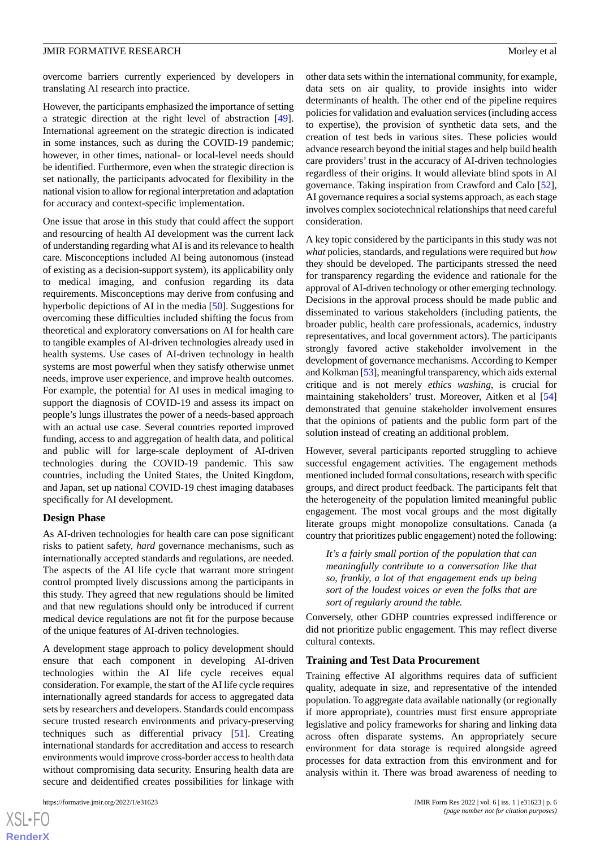overcome barriers currently experienced by developers in translating AI research into practice.

However, the participants emphasized the importance of setting a strategic direction at the right level of abstraction [[49\]](#page-11-9). International agreement on the strategic direction is indicated in some instances, such as during the COVID-19 pandemic; however, in other times, national- or local-level needs should be identified. Furthermore, even when the strategic direction is set nationally, the participants advocated for flexibility in the national vision to allow for regional interpretation and adaptation for accuracy and context-specific implementation.

One issue that arose in this study that could affect the support and resourcing of health AI development was the current lack of understanding regarding what AI is and its relevance to health care. Misconceptions included AI being autonomous (instead of existing as a decision-support system), its applicability only to medical imaging, and confusion regarding its data requirements. Misconceptions may derive from confusing and hyperbolic depictions of AI in the media [[50\]](#page-11-10). Suggestions for overcoming these difficulties included shifting the focus from theoretical and exploratory conversations on AI for health care to tangible examples of AI-driven technologies already used in health systems. Use cases of AI-driven technology in health systems are most powerful when they satisfy otherwise unmet needs, improve user experience, and improve health outcomes. For example, the potential for AI uses in medical imaging to support the diagnosis of COVID-19 and assess its impact on people's lungs illustrates the power of a needs-based approach with an actual use case. Several countries reported improved funding, access to and aggregation of health data, and political and public will for large-scale deployment of AI-driven technologies during the COVID-19 pandemic. This saw countries, including the United States, the United Kingdom, and Japan, set up national COVID-19 chest imaging databases specifically for AI development.

## **Design Phase**

As AI-driven technologies for health care can pose significant risks to patient safety, *hard* governance mechanisms, such as internationally accepted standards and regulations, are needed. The aspects of the AI life cycle that warrant more stringent control prompted lively discussions among the participants in this study. They agreed that new regulations should be limited and that new regulations should only be introduced if current medical device regulations are not fit for the purpose because of the unique features of AI-driven technologies.

A development stage approach to policy development should ensure that each component in developing AI-driven technologies within the AI life cycle receives equal consideration. For example, the start of the AI life cycle requires internationally agreed standards for access to aggregated data sets by researchers and developers. Standards could encompass secure trusted research environments and privacy-preserving techniques such as differential privacy [[51\]](#page-11-11). Creating international standards for accreditation and access to research environments would improve cross-border access to health data without compromising data security. Ensuring health data are secure and deidentified creates possibilities for linkage with

other data sets within the international community, for example, data sets on air quality, to provide insights into wider determinants of health. The other end of the pipeline requires policies for validation and evaluation services (including access to expertise), the provision of synthetic data sets, and the creation of test beds in various sites. These policies would advance research beyond the initial stages and help build health care providers' trust in the accuracy of AI-driven technologies regardless of their origins. It would alleviate blind spots in AI governance. Taking inspiration from Crawford and Calo [[52\]](#page-11-12), AI governance requires a social systems approach, as each stage involves complex sociotechnical relationships that need careful consideration.

A key topic considered by the participants in this study was not *what* policies, standards, and regulations were required but *how* they should be developed. The participants stressed the need for transparency regarding the evidence and rationale for the approval of AI-driven technology or other emerging technology. Decisions in the approval process should be made public and disseminated to various stakeholders (including patients, the broader public, health care professionals, academics, industry representatives, and local government actors). The participants strongly favored active stakeholder involvement in the development of governance mechanisms. According to Kemper and Kolkman [\[53\]](#page-11-13), meaningful transparency, which aids external critique and is not merely *ethics washing*, is crucial for maintaining stakeholders' trust. Moreover, Aitken et al [\[54](#page-11-14)] demonstrated that genuine stakeholder involvement ensures that the opinions of patients and the public form part of the solution instead of creating an additional problem.

However, several participants reported struggling to achieve successful engagement activities. The engagement methods mentioned included formal consultations, research with specific groups, and direct product feedback. The participants felt that the heterogeneity of the population limited meaningful public engagement. The most vocal groups and the most digitally literate groups might monopolize consultations. Canada (a country that prioritizes public engagement) noted the following:

*It's a fairly small portion of the population that can meaningfully contribute to a conversation like that so, frankly, a lot of that engagement ends up being sort of the loudest voices or even the folks that are sort of regularly around the table.*

Conversely, other GDHP countries expressed indifference or did not prioritize public engagement. This may reflect diverse cultural contexts.

#### **Training and Test Data Procurement**

Training effective AI algorithms requires data of sufficient quality, adequate in size, and representative of the intended population. To aggregate data available nationally (or regionally if more appropriate), countries must first ensure appropriate legislative and policy frameworks for sharing and linking data across often disparate systems. An appropriately secure environment for data storage is required alongside agreed processes for data extraction from this environment and for analysis within it. There was broad awareness of needing to

 $XS$ -FO **[RenderX](http://www.renderx.com/)**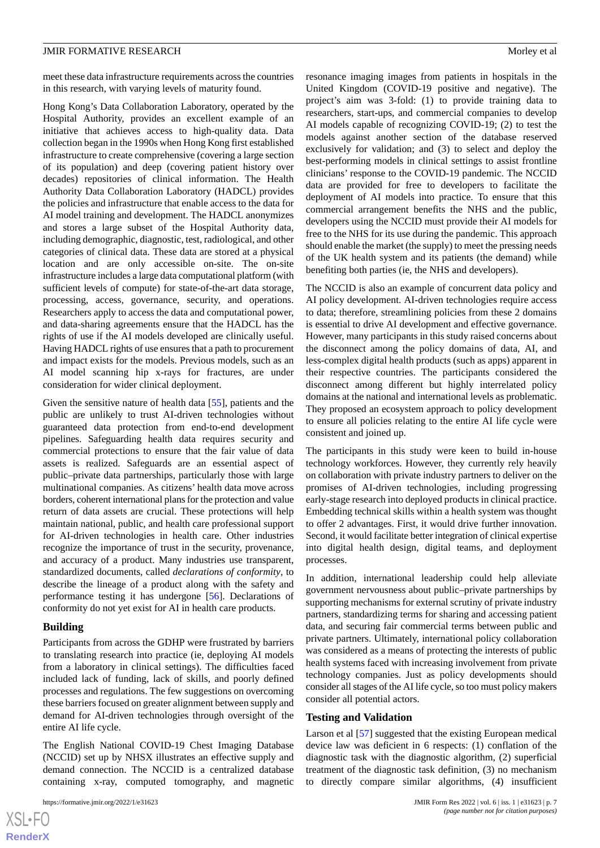meet these data infrastructure requirements across the countries in this research, with varying levels of maturity found.

Hong Kong's Data Collaboration Laboratory, operated by the Hospital Authority, provides an excellent example of an initiative that achieves access to high-quality data. Data collection began in the 1990s when Hong Kong first established infrastructure to create comprehensive (covering a large section of its population) and deep (covering patient history over decades) repositories of clinical information. The Health Authority Data Collaboration Laboratory (HADCL) provides the policies and infrastructure that enable access to the data for AI model training and development. The HADCL anonymizes and stores a large subset of the Hospital Authority data, including demographic, diagnostic, test, radiological, and other categories of clinical data. These data are stored at a physical location and are only accessible on-site. The on-site infrastructure includes a large data computational platform (with sufficient levels of compute) for state-of-the-art data storage, processing, access, governance, security, and operations. Researchers apply to access the data and computational power, and data-sharing agreements ensure that the HADCL has the rights of use if the AI models developed are clinically useful. Having HADCL rights of use ensures that a path to procurement and impact exists for the models. Previous models, such as an AI model scanning hip x-rays for fractures, are under consideration for wider clinical deployment.

Given the sensitive nature of health data [[55\]](#page-11-15), patients and the public are unlikely to trust AI-driven technologies without guaranteed data protection from end-to-end development pipelines. Safeguarding health data requires security and commercial protections to ensure that the fair value of data assets is realized. Safeguards are an essential aspect of public–private data partnerships, particularly those with large multinational companies. As citizens' health data move across borders, coherent international plans for the protection and value return of data assets are crucial. These protections will help maintain national, public, and health care professional support for AI-driven technologies in health care. Other industries recognize the importance of trust in the security, provenance, and accuracy of a product. Many industries use transparent, standardized documents, called *declarations of conformity*, to describe the lineage of a product along with the safety and performance testing it has undergone [[56\]](#page-11-16). Declarations of conformity do not yet exist for AI in health care products.

## **Building**

Participants from across the GDHP were frustrated by barriers to translating research into practice (ie, deploying AI models from a laboratory in clinical settings). The difficulties faced included lack of funding, lack of skills, and poorly defined processes and regulations. The few suggestions on overcoming these barriers focused on greater alignment between supply and demand for AI-driven technologies through oversight of the entire AI life cycle.

The English National COVID-19 Chest Imaging Database (NCCID) set up by NHSX illustrates an effective supply and demand connection. The NCCID is a centralized database containing x-ray, computed tomography, and magnetic

resonance imaging images from patients in hospitals in the United Kingdom (COVID-19 positive and negative). The project's aim was 3-fold: (1) to provide training data to researchers, start-ups, and commercial companies to develop AI models capable of recognizing COVID-19; (2) to test the models against another section of the database reserved exclusively for validation; and (3) to select and deploy the best-performing models in clinical settings to assist frontline clinicians' response to the COVID-19 pandemic. The NCCID data are provided for free to developers to facilitate the deployment of AI models into practice. To ensure that this commercial arrangement benefits the NHS and the public, developers using the NCCID must provide their AI models for free to the NHS for its use during the pandemic. This approach should enable the market (the supply) to meet the pressing needs of the UK health system and its patients (the demand) while benefiting both parties (ie, the NHS and developers).

The NCCID is also an example of concurrent data policy and AI policy development. AI-driven technologies require access to data; therefore, streamlining policies from these 2 domains is essential to drive AI development and effective governance. However, many participants in this study raised concerns about the disconnect among the policy domains of data, AI, and less-complex digital health products (such as apps) apparent in their respective countries. The participants considered the disconnect among different but highly interrelated policy domains at the national and international levels as problematic. They proposed an ecosystem approach to policy development to ensure all policies relating to the entire AI life cycle were consistent and joined up.

The participants in this study were keen to build in-house technology workforces. However, they currently rely heavily on collaboration with private industry partners to deliver on the promises of AI-driven technologies, including progressing early-stage research into deployed products in clinical practice. Embedding technical skills within a health system was thought to offer 2 advantages. First, it would drive further innovation. Second, it would facilitate better integration of clinical expertise into digital health design, digital teams, and deployment processes.

In addition, international leadership could help alleviate government nervousness about public–private partnerships by supporting mechanisms for external scrutiny of private industry partners, standardizing terms for sharing and accessing patient data, and securing fair commercial terms between public and private partners. Ultimately, international policy collaboration was considered as a means of protecting the interests of public health systems faced with increasing involvement from private technology companies. Just as policy developments should consider all stages of the AI life cycle, so too must policy makers consider all potential actors.

#### **Testing and Validation**

Larson et al [\[57](#page-11-17)] suggested that the existing European medical device law was deficient in 6 respects: (1) conflation of the diagnostic task with the diagnostic algorithm, (2) superficial treatment of the diagnostic task definition, (3) no mechanism to directly compare similar algorithms, (4) insufficient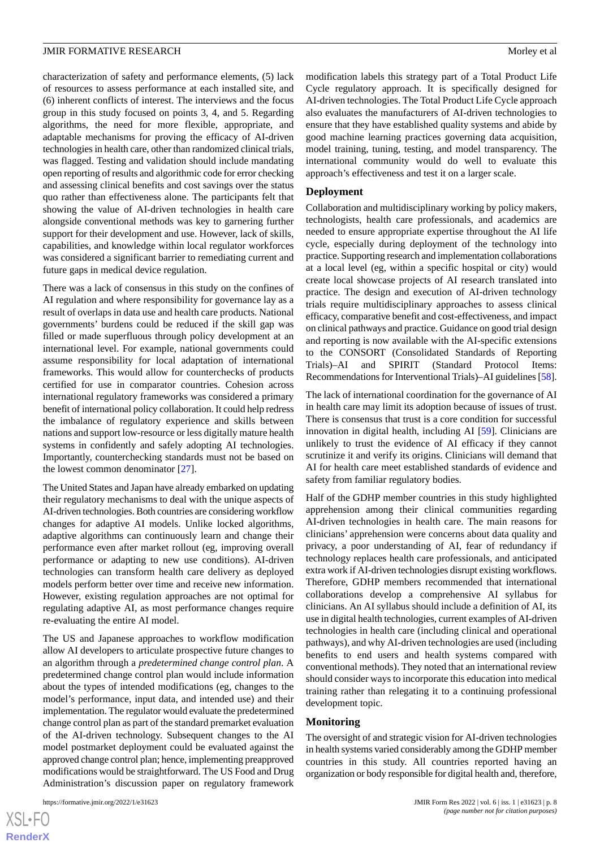characterization of safety and performance elements, (5) lack of resources to assess performance at each installed site, and (6) inherent conflicts of interest. The interviews and the focus group in this study focused on points 3, 4, and 5. Regarding algorithms, the need for more flexible, appropriate, and adaptable mechanisms for proving the efficacy of AI-driven technologies in health care, other than randomized clinical trials, was flagged. Testing and validation should include mandating open reporting of results and algorithmic code for error checking and assessing clinical benefits and cost savings over the status quo rather than effectiveness alone. The participants felt that showing the value of AI-driven technologies in health care alongside conventional methods was key to garnering further support for their development and use. However, lack of skills, capabilities, and knowledge within local regulator workforces was considered a significant barrier to remediating current and future gaps in medical device regulation.

There was a lack of consensus in this study on the confines of AI regulation and where responsibility for governance lay as a result of overlaps in data use and health care products. National governments' burdens could be reduced if the skill gap was filled or made superfluous through policy development at an international level. For example, national governments could assume responsibility for local adaptation of international frameworks. This would allow for counterchecks of products certified for use in comparator countries. Cohesion across international regulatory frameworks was considered a primary benefit of international policy collaboration. It could help redress the imbalance of regulatory experience and skills between nations and support low-resource or less digitally mature health systems in confidently and safely adopting AI technologies. Importantly, counterchecking standards must not be based on the lowest common denominator [[27\]](#page-10-13).

The United States and Japan have already embarked on updating their regulatory mechanisms to deal with the unique aspects of AI-driven technologies. Both countries are considering workflow changes for adaptive AI models. Unlike locked algorithms, adaptive algorithms can continuously learn and change their performance even after market rollout (eg, improving overall performance or adapting to new use conditions). AI-driven technologies can transform health care delivery as deployed models perform better over time and receive new information. However, existing regulation approaches are not optimal for regulating adaptive AI, as most performance changes require re-evaluating the entire AI model.

The US and Japanese approaches to workflow modification allow AI developers to articulate prospective future changes to an algorithm through a *predetermined change control plan*. A predetermined change control plan would include information about the types of intended modifications (eg, changes to the model's performance, input data, and intended use) and their implementation. The regulator would evaluate the predetermined change control plan as part of the standard premarket evaluation of the AI-driven technology. Subsequent changes to the AI model postmarket deployment could be evaluated against the approved change control plan; hence, implementing preapproved modifications would be straightforward. The US Food and Drug Administration's discussion paper on regulatory framework

modification labels this strategy part of a Total Product Life Cycle regulatory approach. It is specifically designed for AI-driven technologies. The Total Product Life Cycle approach also evaluates the manufacturers of AI-driven technologies to ensure that they have established quality systems and abide by good machine learning practices governing data acquisition, model training, tuning, testing, and model transparency. The international community would do well to evaluate this approach's effectiveness and test it on a larger scale.

## **Deployment**

Collaboration and multidisciplinary working by policy makers, technologists, health care professionals, and academics are needed to ensure appropriate expertise throughout the AI life cycle, especially during deployment of the technology into practice. Supporting research and implementation collaborations at a local level (eg, within a specific hospital or city) would create local showcase projects of AI research translated into practice. The design and execution of AI-driven technology trials require multidisciplinary approaches to assess clinical efficacy, comparative benefit and cost-effectiveness, and impact on clinical pathways and practice. Guidance on good trial design and reporting is now available with the AI-specific extensions to the CONSORT (Consolidated Standards of Reporting Trials)–AI and SPIRIT (Standard Protocol Items: Recommendations for Interventional Trials)–AI guidelines [\[58](#page-11-18)].

The lack of international coordination for the governance of AI in health care may limit its adoption because of issues of trust. There is consensus that trust is a core condition for successful innovation in digital health, including AI [[59\]](#page-11-19). Clinicians are unlikely to trust the evidence of AI efficacy if they cannot scrutinize it and verify its origins. Clinicians will demand that AI for health care meet established standards of evidence and safety from familiar regulatory bodies.

Half of the GDHP member countries in this study highlighted apprehension among their clinical communities regarding AI-driven technologies in health care. The main reasons for clinicians' apprehension were concerns about data quality and privacy, a poor understanding of AI, fear of redundancy if technology replaces health care professionals, and anticipated extra work if AI-driven technologies disrupt existing workflows. Therefore, GDHP members recommended that international collaborations develop a comprehensive AI syllabus for clinicians. An AI syllabus should include a definition of AI, its use in digital health technologies, current examples of AI-driven technologies in health care (including clinical and operational pathways), and why AI-driven technologies are used (including benefits to end users and health systems compared with conventional methods). They noted that an international review should consider ways to incorporate this education into medical training rather than relegating it to a continuing professional development topic.

#### **Monitoring**

The oversight of and strategic vision for AI-driven technologies in health systems varied considerably among the GDHP member countries in this study. All countries reported having an organization or body responsible for digital health and, therefore,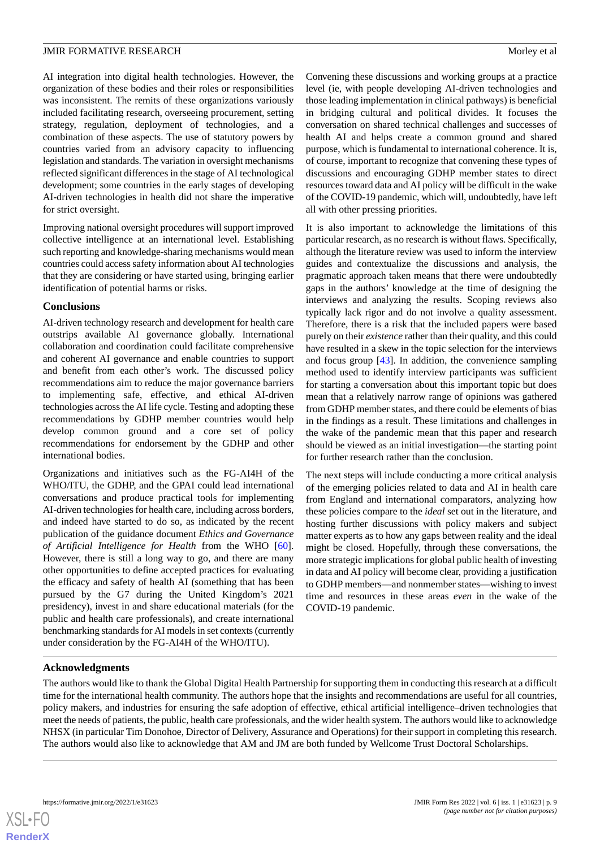AI integration into digital health technologies. However, the organization of these bodies and their roles or responsibilities was inconsistent. The remits of these organizations variously included facilitating research, overseeing procurement, setting strategy, regulation, deployment of technologies, and a combination of these aspects. The use of statutory powers by countries varied from an advisory capacity to influencing legislation and standards. The variation in oversight mechanisms reflected significant differences in the stage of AI technological development; some countries in the early stages of developing AI-driven technologies in health did not share the imperative for strict oversight.

Improving national oversight procedures will support improved collective intelligence at an international level. Establishing such reporting and knowledge-sharing mechanisms would mean countries could access safety information about AI technologies that they are considering or have started using, bringing earlier identification of potential harms or risks.

## **Conclusions**

AI-driven technology research and development for health care outstrips available AI governance globally. International collaboration and coordination could facilitate comprehensive and coherent AI governance and enable countries to support and benefit from each other's work. The discussed policy recommendations aim to reduce the major governance barriers to implementing safe, effective, and ethical AI-driven technologies across the AI life cycle. Testing and adopting these recommendations by GDHP member countries would help develop common ground and a core set of policy recommendations for endorsement by the GDHP and other international bodies.

Organizations and initiatives such as the FG-AI4H of the WHO/ITU, the GDHP, and the GPAI could lead international conversations and produce practical tools for implementing AI-driven technologies for health care, including across borders, and indeed have started to do so, as indicated by the recent publication of the guidance document *Ethics and Governance of Artificial Intelligence for Health* from the WHO [[60\]](#page-11-20). However, there is still a long way to go, and there are many other opportunities to define accepted practices for evaluating the efficacy and safety of health AI (something that has been pursued by the G7 during the United Kingdom's 2021 presidency), invest in and share educational materials (for the public and health care professionals), and create international benchmarking standards for AI models in set contexts (currently under consideration by the FG-AI4H of the WHO/ITU).

Convening these discussions and working groups at a practice level (ie, with people developing AI-driven technologies and those leading implementation in clinical pathways) is beneficial in bridging cultural and political divides. It focuses the conversation on shared technical challenges and successes of health AI and helps create a common ground and shared purpose, which is fundamental to international coherence. It is, of course, important to recognize that convening these types of discussions and encouraging GDHP member states to direct resources toward data and AI policy will be difficult in the wake of the COVID-19 pandemic, which will, undoubtedly, have left all with other pressing priorities.

It is also important to acknowledge the limitations of this particular research, as no research is without flaws. Specifically, although the literature review was used to inform the interview guides and contextualize the discussions and analysis, the pragmatic approach taken means that there were undoubtedly gaps in the authors' knowledge at the time of designing the interviews and analyzing the results. Scoping reviews also typically lack rigor and do not involve a quality assessment. Therefore, there is a risk that the included papers were based purely on their *existence* rather than their quality, and this could have resulted in a skew in the topic selection for the interviews and focus group [\[43](#page-11-3)]. In addition, the convenience sampling method used to identify interview participants was sufficient for starting a conversation about this important topic but does mean that a relatively narrow range of opinions was gathered from GDHP member states, and there could be elements of bias in the findings as a result. These limitations and challenges in the wake of the pandemic mean that this paper and research should be viewed as an initial investigation—the starting point for further research rather than the conclusion.

The next steps will include conducting a more critical analysis of the emerging policies related to data and AI in health care from England and international comparators, analyzing how these policies compare to the *ideal* set out in the literature, and hosting further discussions with policy makers and subject matter experts as to how any gaps between reality and the ideal might be closed. Hopefully, through these conversations, the more strategic implications for global public health of investing in data and AI policy will become clear, providing a justification to GDHP members—and nonmember states—wishing to invest time and resources in these areas *even* in the wake of the COVID-19 pandemic.

# **Acknowledgments**

The authors would like to thank the Global Digital Health Partnership for supporting them in conducting this research at a difficult time for the international health community. The authors hope that the insights and recommendations are useful for all countries, policy makers, and industries for ensuring the safe adoption of effective, ethical artificial intelligence–driven technologies that meet the needs of patients, the public, health care professionals, and the wider health system. The authors would like to acknowledge NHSX (in particular Tim Donohoe, Director of Delivery, Assurance and Operations) for their support in completing this research. The authors would also like to acknowledge that AM and JM are both funded by Wellcome Trust Doctoral Scholarships.

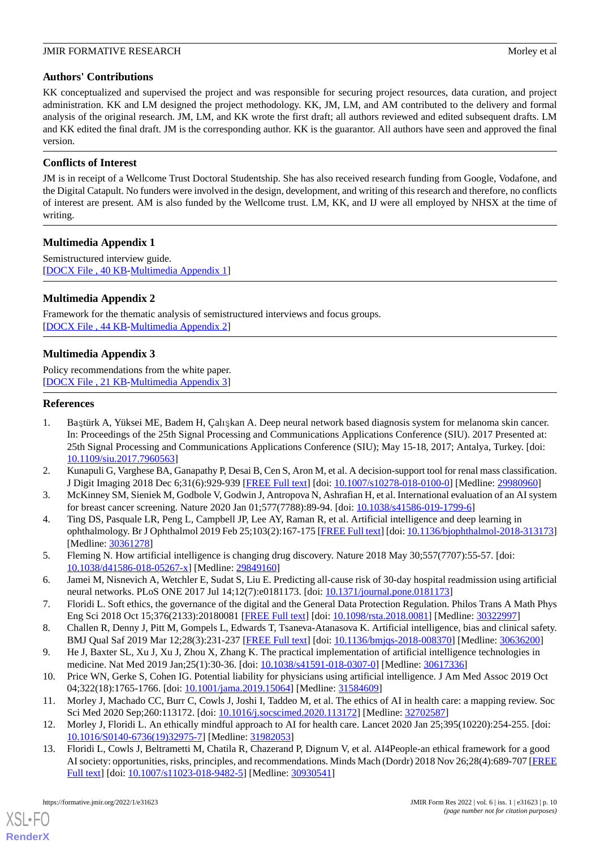# **Authors' Contributions**

KK conceptualized and supervised the project and was responsible for securing project resources, data curation, and project administration. KK and LM designed the project methodology. KK, JM, LM, and AM contributed to the delivery and formal analysis of the original research. JM, LM, and KK wrote the first draft; all authors reviewed and edited subsequent drafts. LM and KK edited the final draft. JM is the corresponding author. KK is the guarantor. All authors have seen and approved the final version.

# **Conflicts of Interest**

JM is in receipt of a Wellcome Trust Doctoral Studentship. She has also received research funding from Google, Vodafone, and the Digital Catapult. No funders were involved in the design, development, and writing of this research and therefore, no conflicts of interest are present. AM is also funded by the Wellcome trust. LM, KK, and IJ were all employed by NHSX at the time of writing.

# <span id="page-9-11"></span>**Multimedia Appendix 1**

<span id="page-9-12"></span>Semistructured interview guide. [[DOCX File , 40 KB](https://jmir.org/api/download?alt_name=formative_v6i1e31623_app1.docx&filename=f22ff9509c61003ffab8606ad25ccfdf.docx)-[Multimedia Appendix 1\]](https://jmir.org/api/download?alt_name=formative_v6i1e31623_app1.docx&filename=f22ff9509c61003ffab8606ad25ccfdf.docx)

# **Multimedia Appendix 2**

<span id="page-9-13"></span>Framework for the thematic analysis of semistructured interviews and focus groups. [[DOCX File , 44 KB](https://jmir.org/api/download?alt_name=formative_v6i1e31623_app2.docx&filename=fff284338eebeff9b14af67b6a1afafd.docx)-[Multimedia Appendix 2\]](https://jmir.org/api/download?alt_name=formative_v6i1e31623_app2.docx&filename=fff284338eebeff9b14af67b6a1afafd.docx)

# **Multimedia Appendix 3**

<span id="page-9-0"></span>Policy recommendations from the white paper. [[DOCX File , 21 KB](https://jmir.org/api/download?alt_name=formative_v6i1e31623_app3.docx&filename=132ba327b1517866e1a0ca4c0405b22e.docx)-[Multimedia Appendix 3\]](https://jmir.org/api/download?alt_name=formative_v6i1e31623_app3.docx&filename=132ba327b1517866e1a0ca4c0405b22e.docx)

# **References**

- 1. Baştürk A, Yüksei ME, Badem H, Çalışkan A. Deep neural network based diagnosis system for melanoma skin cancer. In: Proceedings of the 25th Signal Processing and Communications Applications Conference (SIU). 2017 Presented at: 25th Signal Processing and Communications Applications Conference (SIU); May 15-18, 2017; Antalya, Turkey. [doi: [10.1109/siu.2017.7960563\]](http://dx.doi.org/10.1109/siu.2017.7960563)
- <span id="page-9-1"></span>2. Kunapuli G, Varghese BA, Ganapathy P, Desai B, Cen S, Aron M, et al. A decision-support tool for renal mass classification. J Digit Imaging 2018 Dec 6;31(6):929-939 [\[FREE Full text\]](http://europepmc.org/abstract/MED/29980960) [doi: [10.1007/s10278-018-0100-0](http://dx.doi.org/10.1007/s10278-018-0100-0)] [Medline: [29980960\]](http://www.ncbi.nlm.nih.gov/entrez/query.fcgi?cmd=Retrieve&db=PubMed&list_uids=29980960&dopt=Abstract)
- <span id="page-9-2"></span>3. McKinney SM, Sieniek M, Godbole V, Godwin J, Antropova N, Ashrafian H, et al. International evaluation of an AI system for breast cancer screening. Nature 2020 Jan 01;577(7788):89-94. [doi: [10.1038/s41586-019-1799-6](http://dx.doi.org/10.1038/s41586-019-1799-6)]
- <span id="page-9-3"></span>4. Ting DS, Pasquale LR, Peng L, Campbell JP, Lee AY, Raman R, et al. Artificial intelligence and deep learning in ophthalmology. Br J Ophthalmol 2019 Feb 25;103(2):167-175 [\[FREE Full text\]](http://bjo.bmj.com/lookup/pmidlookup?view=long&pmid=30361278) [doi: [10.1136/bjophthalmol-2018-313173](http://dx.doi.org/10.1136/bjophthalmol-2018-313173)] [Medline: [30361278](http://www.ncbi.nlm.nih.gov/entrez/query.fcgi?cmd=Retrieve&db=PubMed&list_uids=30361278&dopt=Abstract)]
- <span id="page-9-5"></span><span id="page-9-4"></span>5. Fleming N. How artificial intelligence is changing drug discovery. Nature 2018 May 30;557(7707):55-57. [doi: [10.1038/d41586-018-05267-x\]](http://dx.doi.org/10.1038/d41586-018-05267-x) [Medline: [29849160\]](http://www.ncbi.nlm.nih.gov/entrez/query.fcgi?cmd=Retrieve&db=PubMed&list_uids=29849160&dopt=Abstract)
- <span id="page-9-10"></span>6. Jamei M, Nisnevich A, Wetchler E, Sudat S, Liu E. Predicting all-cause risk of 30-day hospital readmission using artificial neural networks. PLoS ONE 2017 Jul 14;12(7):e0181173. [doi: [10.1371/journal.pone.0181173](http://dx.doi.org/10.1371/journal.pone.0181173)]
- <span id="page-9-6"></span>7. Floridi L. Soft ethics, the governance of the digital and the General Data Protection Regulation. Philos Trans A Math Phys Eng Sci 2018 Oct 15;376(2133):20180081 [[FREE Full text](http://europepmc.org/abstract/MED/30322997)] [doi: [10.1098/rsta.2018.0081](http://dx.doi.org/10.1098/rsta.2018.0081)] [Medline: [30322997](http://www.ncbi.nlm.nih.gov/entrez/query.fcgi?cmd=Retrieve&db=PubMed&list_uids=30322997&dopt=Abstract)]
- <span id="page-9-7"></span>8. Challen R, Denny J, Pitt M, Gompels L, Edwards T, Tsaneva-Atanasova K. Artificial intelligence, bias and clinical safety. BMJ Qual Saf 2019 Mar 12;28(3):231-237 [\[FREE Full text\]](http://qualitysafety.bmj.com/lookup/pmidlookup?view=long&pmid=30636200) [doi: [10.1136/bmjqs-2018-008370](http://dx.doi.org/10.1136/bmjqs-2018-008370)] [Medline: [30636200](http://www.ncbi.nlm.nih.gov/entrez/query.fcgi?cmd=Retrieve&db=PubMed&list_uids=30636200&dopt=Abstract)]
- <span id="page-9-8"></span>9. He J, Baxter SL, Xu J, Xu J, Zhou X, Zhang K. The practical implementation of artificial intelligence technologies in medicine. Nat Med 2019 Jan;25(1):30-36. [doi: [10.1038/s41591-018-0307-0\]](http://dx.doi.org/10.1038/s41591-018-0307-0) [Medline: [30617336\]](http://www.ncbi.nlm.nih.gov/entrez/query.fcgi?cmd=Retrieve&db=PubMed&list_uids=30617336&dopt=Abstract)
- <span id="page-9-9"></span>10. Price WN, Gerke S, Cohen IG. Potential liability for physicians using artificial intelligence. J Am Med Assoc 2019 Oct 04;322(18):1765-1766. [doi: [10.1001/jama.2019.15064](http://dx.doi.org/10.1001/jama.2019.15064)] [Medline: [31584609\]](http://www.ncbi.nlm.nih.gov/entrez/query.fcgi?cmd=Retrieve&db=PubMed&list_uids=31584609&dopt=Abstract)
- 11. Morley J, Machado CC, Burr C, Cowls J, Joshi I, Taddeo M, et al. The ethics of AI in health care: a mapping review. Soc Sci Med 2020 Sep;260:113172. [doi: [10.1016/j.socscimed.2020.113172](http://dx.doi.org/10.1016/j.socscimed.2020.113172)] [Medline: [32702587](http://www.ncbi.nlm.nih.gov/entrez/query.fcgi?cmd=Retrieve&db=PubMed&list_uids=32702587&dopt=Abstract)]
- 12. Morley J, Floridi L. An ethically mindful approach to AI for health care. Lancet 2020 Jan 25;395(10220):254-255. [doi: [10.1016/S0140-6736\(19\)32975-7\]](http://dx.doi.org/10.1016/S0140-6736(19)32975-7) [Medline: [31982053](http://www.ncbi.nlm.nih.gov/entrez/query.fcgi?cmd=Retrieve&db=PubMed&list_uids=31982053&dopt=Abstract)]
- 13. Floridi L, Cowls J, Beltrametti M, Chatila R, Chazerand P, Dignum V, et al. AI4People-an ethical framework for a good AI society: opportunities, risks, principles, and recommendations. Minds Mach (Dordr) 2018 Nov 26;28(4):689-707 [\[FREE](http://europepmc.org/abstract/MED/30930541) [Full text\]](http://europepmc.org/abstract/MED/30930541) [doi: [10.1007/s11023-018-9482-5](http://dx.doi.org/10.1007/s11023-018-9482-5)] [Medline: [30930541](http://www.ncbi.nlm.nih.gov/entrez/query.fcgi?cmd=Retrieve&db=PubMed&list_uids=30930541&dopt=Abstract)]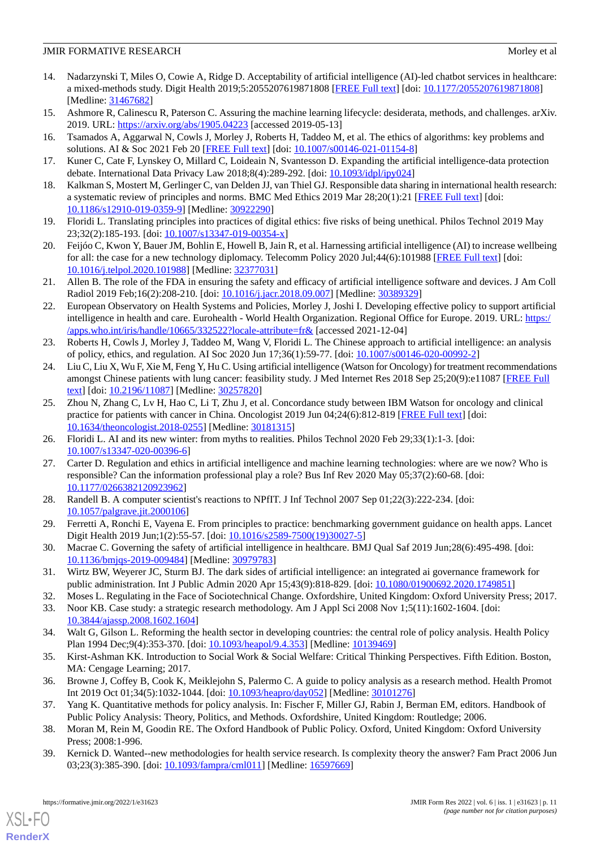- <span id="page-10-0"></span>14. Nadarzynski T, Miles O, Cowie A, Ridge D. Acceptability of artificial intelligence (AI)-led chatbot services in healthcare: a mixed-methods study. Digit Health 2019;5:2055207619871808 [[FREE Full text](https://journals.sagepub.com/doi/10.1177/2055207619871808?url_ver=Z39.88-2003&rfr_id=ori:rid:crossref.org&rfr_dat=cr_pub%3dpubmed)] [doi: [10.1177/2055207619871808\]](http://dx.doi.org/10.1177/2055207619871808) [Medline: [31467682](http://www.ncbi.nlm.nih.gov/entrez/query.fcgi?cmd=Retrieve&db=PubMed&list_uids=31467682&dopt=Abstract)]
- <span id="page-10-2"></span><span id="page-10-1"></span>15. Ashmore R, Calinescu R, Paterson C. Assuring the machine learning lifecycle: desiderata, methods, and challenges. arXiv. 2019. URL: <https://arxiv.org/abs/1905.04223> [accessed 2019-05-13]
- <span id="page-10-3"></span>16. Tsamados A, Aggarwal N, Cowls J, Morley J, Roberts H, Taddeo M, et al. The ethics of algorithms: key problems and solutions. AI & Soc 2021 Feb 20 [\[FREE Full text\]](https://papers.ssrn.com/sol3/papers.cfm?abstract_id=3662302) [doi: [10.1007/s00146-021-01154-8](http://dx.doi.org/10.1007/s00146-021-01154-8)]
- <span id="page-10-4"></span>17. Kuner C, Cate F, Lynskey O, Millard C, Loideain N, Svantesson D. Expanding the artificial intelligence-data protection debate. International Data Privacy Law 2018;8(4):289-292. [doi: [10.1093/idpl/ipy024](http://dx.doi.org/10.1093/idpl/ipy024)]
- <span id="page-10-5"></span>18. Kalkman S, Mostert M, Gerlinger C, van Delden JJ, van Thiel GJ. Responsible data sharing in international health research: a systematic review of principles and norms. BMC Med Ethics 2019 Mar 28;20(1):21 [[FREE Full text](https://bmcmedethics.biomedcentral.com/articles/10.1186/s12910-019-0359-9)] [doi: [10.1186/s12910-019-0359-9\]](http://dx.doi.org/10.1186/s12910-019-0359-9) [Medline: [30922290](http://www.ncbi.nlm.nih.gov/entrez/query.fcgi?cmd=Retrieve&db=PubMed&list_uids=30922290&dopt=Abstract)]
- <span id="page-10-6"></span>19. Floridi L. Translating principles into practices of digital ethics: five risks of being unethical. Philos Technol 2019 May 23;32(2):185-193. [doi: [10.1007/s13347-019-00354-x\]](http://dx.doi.org/10.1007/s13347-019-00354-x)
- <span id="page-10-7"></span>20. Feijóo C, Kwon Y, Bauer JM, Bohlin E, Howell B, Jain R, et al. Harnessing artificial intelligence (AI) to increase wellbeing for all: the case for a new technology diplomacy. Telecomm Policy 2020 Jul;44(6):101988 [[FREE Full text\]](http://europepmc.org/abstract/MED/32377031) [doi: [10.1016/j.telpol.2020.101988\]](http://dx.doi.org/10.1016/j.telpol.2020.101988) [Medline: [32377031\]](http://www.ncbi.nlm.nih.gov/entrez/query.fcgi?cmd=Retrieve&db=PubMed&list_uids=32377031&dopt=Abstract)
- <span id="page-10-8"></span>21. Allen B. The role of the FDA in ensuring the safety and efficacy of artificial intelligence software and devices. J Am Coll Radiol 2019 Feb;16(2):208-210. [doi: [10.1016/j.jacr.2018.09.007\]](http://dx.doi.org/10.1016/j.jacr.2018.09.007) [Medline: [30389329](http://www.ncbi.nlm.nih.gov/entrez/query.fcgi?cmd=Retrieve&db=PubMed&list_uids=30389329&dopt=Abstract)]
- <span id="page-10-9"></span>22. European Observatory on Health Systems and Policies, Morley J, Joshi I. Developing effective policy to support artificial intelligence in health and care. Eurohealth - World Health Organization. Regional Office for Europe. 2019. URL: [https:/](https://apps.who.int/iris/handle/10665/332522?locale-attribute=fr&) [/apps.who.int/iris/handle/10665/332522?locale-attribute=fr&](https://apps.who.int/iris/handle/10665/332522?locale-attribute=fr&) [accessed 2021-12-04]
- <span id="page-10-10"></span>23. Roberts H, Cowls J, Morley J, Taddeo M, Wang V, Floridi L. The Chinese approach to artificial intelligence: an analysis of policy, ethics, and regulation. AI Soc 2020 Jun 17;36(1):59-77. [doi: [10.1007/s00146-020-00992-2\]](http://dx.doi.org/10.1007/s00146-020-00992-2)
- <span id="page-10-11"></span>24. Liu C, Liu X, Wu F, Xie M, Feng Y, Hu C. Using artificial intelligence (Watson for Oncology) for treatment recommendations amongst Chinese patients with lung cancer: feasibility study. J Med Internet Res 2018 Sep 25;20(9):e11087 [\[FREE Full](https://www.jmir.org/2018/9/e11087/) [text](https://www.jmir.org/2018/9/e11087/)] [doi: [10.2196/11087\]](http://dx.doi.org/10.2196/11087) [Medline: [30257820\]](http://www.ncbi.nlm.nih.gov/entrez/query.fcgi?cmd=Retrieve&db=PubMed&list_uids=30257820&dopt=Abstract)
- <span id="page-10-13"></span><span id="page-10-12"></span>25. Zhou N, Zhang C, Lv H, Hao C, Li T, Zhu J, et al. Concordance study between IBM Watson for oncology and clinical practice for patients with cancer in China. Oncologist 2019 Jun 04;24(6):812-819 [\[FREE Full text\]](https://doi.org/10.1634/theoncologist.2018-0255) [doi: [10.1634/theoncologist.2018-0255\]](http://dx.doi.org/10.1634/theoncologist.2018-0255) [Medline: [30181315](http://www.ncbi.nlm.nih.gov/entrez/query.fcgi?cmd=Retrieve&db=PubMed&list_uids=30181315&dopt=Abstract)]
- <span id="page-10-14"></span>26. Floridi L. AI and its new winter: from myths to realities. Philos Technol 2020 Feb 29;33(1):1-3. [doi: [10.1007/s13347-020-00396-6\]](http://dx.doi.org/10.1007/s13347-020-00396-6)
- <span id="page-10-15"></span>27. Carter D. Regulation and ethics in artificial intelligence and machine learning technologies: where are we now? Who is responsible? Can the information professional play a role? Bus Inf Rev 2020 May 05;37(2):60-68. [doi: [10.1177/0266382120923962\]](http://dx.doi.org/10.1177/0266382120923962)
- <span id="page-10-16"></span>28. Randell B. A computer scientist's reactions to NPfIT. J Inf Technol 2007 Sep 01;22(3):222-234. [doi: [10.1057/palgrave.jit.2000106](http://dx.doi.org/10.1057/palgrave.jit.2000106)]
- <span id="page-10-17"></span>29. Ferretti A, Ronchi E, Vayena E. From principles to practice: benchmarking government guidance on health apps. Lancet Digit Health 2019 Jun;1(2):55-57. [doi: [10.1016/s2589-7500\(19\)30027-5\]](http://dx.doi.org/10.1016/s2589-7500(19)30027-5)
- <span id="page-10-19"></span><span id="page-10-18"></span>30. Macrae C. Governing the safety of artificial intelligence in healthcare. BMJ Qual Saf 2019 Jun;28(6):495-498. [doi: [10.1136/bmjqs-2019-009484\]](http://dx.doi.org/10.1136/bmjqs-2019-009484) [Medline: [30979783\]](http://www.ncbi.nlm.nih.gov/entrez/query.fcgi?cmd=Retrieve&db=PubMed&list_uids=30979783&dopt=Abstract)
- <span id="page-10-20"></span>31. Wirtz BW, Weyerer JC, Sturm BJ. The dark sides of artificial intelligence: an integrated ai governance framework for public administration. Int J Public Admin 2020 Apr 15;43(9):818-829. [doi: [10.1080/01900692.2020.1749851\]](http://dx.doi.org/10.1080/01900692.2020.1749851)
- <span id="page-10-21"></span>32. Moses L. Regulating in the Face of Sociotechnical Change. Oxfordshire, United Kingdom: Oxford University Press; 2017.
- <span id="page-10-22"></span>33. Noor KB. Case study: a strategic research methodology. Am J Appl Sci 2008 Nov 1;5(11):1602-1604. [doi: [10.3844/ajassp.2008.1602.1604\]](http://dx.doi.org/10.3844/ajassp.2008.1602.1604)
- <span id="page-10-23"></span>34. Walt G, Gilson L. Reforming the health sector in developing countries: the central role of policy analysis. Health Policy Plan 1994 Dec;9(4):353-370. [doi: [10.1093/heapol/9.4.353](http://dx.doi.org/10.1093/heapol/9.4.353)] [Medline: [10139469\]](http://www.ncbi.nlm.nih.gov/entrez/query.fcgi?cmd=Retrieve&db=PubMed&list_uids=10139469&dopt=Abstract)
- <span id="page-10-24"></span>35. Kirst-Ashman KK. Introduction to Social Work & Social Welfare: Critical Thinking Perspectives. Fifth Edition. Boston, MA: Cengage Learning; 2017.
- <span id="page-10-25"></span>36. Browne J, Coffey B, Cook K, Meiklejohn S, Palermo C. A guide to policy analysis as a research method. Health Promot Int 2019 Oct 01;34(5):1032-1044. [doi: [10.1093/heapro/day052](http://dx.doi.org/10.1093/heapro/day052)] [Medline: [30101276\]](http://www.ncbi.nlm.nih.gov/entrez/query.fcgi?cmd=Retrieve&db=PubMed&list_uids=30101276&dopt=Abstract)
- 37. Yang K. Quantitative methods for policy analysis. In: Fischer F, Miller GJ, Rabin J, Berman EM, editors. Handbook of Public Policy Analysis: Theory, Politics, and Methods. Oxfordshire, United Kingdom: Routledge; 2006.
- 38. Moran M, Rein M, Goodin RE. The Oxford Handbook of Public Policy. Oxford, United Kingdom: Oxford University Press; 2008:1-996.
- 39. Kernick D. Wanted--new methodologies for health service research. Is complexity theory the answer? Fam Pract 2006 Jun 03;23(3):385-390. [doi: [10.1093/fampra/cml011\]](http://dx.doi.org/10.1093/fampra/cml011) [Medline: [16597669\]](http://www.ncbi.nlm.nih.gov/entrez/query.fcgi?cmd=Retrieve&db=PubMed&list_uids=16597669&dopt=Abstract)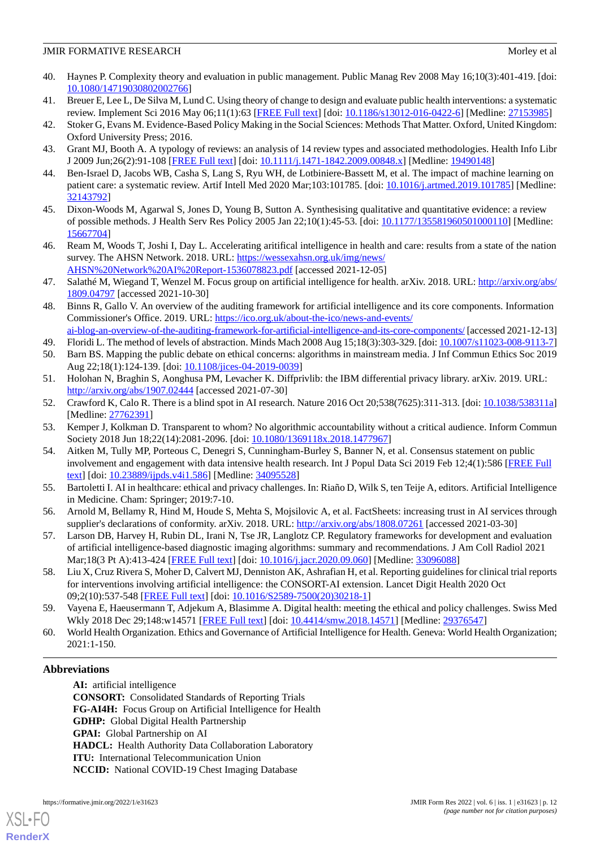- <span id="page-11-0"></span>40. Haynes P. Complexity theory and evaluation in public management. Public Manag Rev 2008 May 16;10(3):401-419. [doi: [10.1080/14719030802002766\]](http://dx.doi.org/10.1080/14719030802002766)
- <span id="page-11-2"></span><span id="page-11-1"></span>41. Breuer E, Lee L, De Silva M, Lund C. Using theory of change to design and evaluate public health interventions: a systematic review. Implement Sci 2016 May 06;11(1):63 [\[FREE Full text\]](https://implementationscience.biomedcentral.com/articles/10.1186/s13012-016-0422-6) [doi: [10.1186/s13012-016-0422-6\]](http://dx.doi.org/10.1186/s13012-016-0422-6) [Medline: [27153985\]](http://www.ncbi.nlm.nih.gov/entrez/query.fcgi?cmd=Retrieve&db=PubMed&list_uids=27153985&dopt=Abstract)
- <span id="page-11-3"></span>42. Stoker G, Evans M. Evidence-Based Policy Making in the Social Sciences: Methods That Matter. Oxford, United Kingdom: Oxford University Press; 2016.
- <span id="page-11-4"></span>43. Grant MJ, Booth A. A typology of reviews: an analysis of 14 review types and associated methodologies. Health Info Libr J 2009 Jun;26(2):91-108 [[FREE Full text](https://doi.org/10.1111/j.1471-1842.2009.00848.x)] [doi: [10.1111/j.1471-1842.2009.00848.x\]](http://dx.doi.org/10.1111/j.1471-1842.2009.00848.x) [Medline: [19490148\]](http://www.ncbi.nlm.nih.gov/entrez/query.fcgi?cmd=Retrieve&db=PubMed&list_uids=19490148&dopt=Abstract)
- <span id="page-11-5"></span>44. Ben-Israel D, Jacobs WB, Casha S, Lang S, Ryu WH, de Lotbiniere-Bassett M, et al. The impact of machine learning on patient care: a systematic review. Artif Intell Med 2020 Mar;103:101785. [doi: [10.1016/j.artmed.2019.101785\]](http://dx.doi.org/10.1016/j.artmed.2019.101785) [Medline: [32143792](http://www.ncbi.nlm.nih.gov/entrez/query.fcgi?cmd=Retrieve&db=PubMed&list_uids=32143792&dopt=Abstract)]
- <span id="page-11-6"></span>45. Dixon-Woods M, Agarwal S, Jones D, Young B, Sutton A. Synthesising qualitative and quantitative evidence: a review of possible methods. J Health Serv Res Policy 2005 Jan 22;10(1):45-53. [doi: [10.1177/135581960501000110\]](http://dx.doi.org/10.1177/135581960501000110) [Medline: [15667704](http://www.ncbi.nlm.nih.gov/entrez/query.fcgi?cmd=Retrieve&db=PubMed&list_uids=15667704&dopt=Abstract)]
- <span id="page-11-7"></span>46. Ream M, Woods T, Joshi I, Day L. Accelerating aritifical intelligence in health and care: results from a state of the nation survey. The AHSN Network. 2018. URL: [https://wessexahsn.org.uk/img/news/](https://wessexahsn.org.uk/img/news/AHSN%20Network%20AI%20Report-1536078823.pdf) [AHSN%20Network%20AI%20Report-1536078823.pdf](https://wessexahsn.org.uk/img/news/AHSN%20Network%20AI%20Report-1536078823.pdf) [accessed 2021-12-05]
- <span id="page-11-8"></span>47. Salathé M, Wiegand T, Wenzel M. Focus group on artificial intelligence for health. arXiv. 2018. URL: [http://arxiv.org/abs/](http://arxiv.org/abs/1809.04797) [1809.04797](http://arxiv.org/abs/1809.04797) [accessed 2021-10-30]
- <span id="page-11-9"></span>48. Binns R, Gallo V. An overview of the auditing framework for artificial intelligence and its core components. Information Commissioner's Office. 2019. URL: [https://ico.org.uk/about-the-ico/news-and-events/](https://ico.org.uk/about-the-ico/news-and-events/ai-blog-an-overview-of-the-auditing-framework-for-artificial-intelligence-and-its-core-components/)
- <span id="page-11-10"></span>[ai-blog-an-overview-of-the-auditing-framework-for-artificial-intelligence-and-its-core-components/](https://ico.org.uk/about-the-ico/news-and-events/ai-blog-an-overview-of-the-auditing-framework-for-artificial-intelligence-and-its-core-components/) [accessed 2021-12-13] 49. Floridi L. The method of levels of abstraction. Minds Mach 2008 Aug 15;18(3):303-329. [doi: [10.1007/s11023-008-9113-7\]](http://dx.doi.org/10.1007/s11023-008-9113-7)
- <span id="page-11-12"></span><span id="page-11-11"></span>50. Barn BS. Mapping the public debate on ethical concerns: algorithms in mainstream media. J Inf Commun Ethics Soc 2019 Aug 22;18(1):124-139. [doi: [10.1108/jices-04-2019-0039\]](http://dx.doi.org/10.1108/jices-04-2019-0039)
- <span id="page-11-13"></span>51. Holohan N, Braghin S, Aonghusa PM, Levacher K. Diffprivlib: the IBM differential privacy library. arXiv. 2019. URL: <http://arxiv.org/abs/1907.02444> [accessed 2021-07-30]
- <span id="page-11-14"></span>52. Crawford K, Calo R. There is a blind spot in AI research. Nature 2016 Oct 20;538(7625):311-313. [doi: [10.1038/538311a](http://dx.doi.org/10.1038/538311a)] [Medline: [27762391](http://www.ncbi.nlm.nih.gov/entrez/query.fcgi?cmd=Retrieve&db=PubMed&list_uids=27762391&dopt=Abstract)]
- <span id="page-11-15"></span>53. Kemper J, Kolkman D. Transparent to whom? No algorithmic accountability without a critical audience. Inform Commun Society 2018 Jun 18;22(14):2081-2096. [doi: [10.1080/1369118x.2018.1477967](http://dx.doi.org/10.1080/1369118x.2018.1477967)]
- <span id="page-11-16"></span>54. Aitken M, Tully MP, Porteous C, Denegri S, Cunningham-Burley S, Banner N, et al. Consensus statement on public involvement and engagement with data intensive health research. Int J Popul Data Sci 2019 Feb 12;4(1):586 [\[FREE Full](http://europepmc.org/abstract/MED/34095528) [text](http://europepmc.org/abstract/MED/34095528)] [doi: [10.23889/ijpds.v4i1.586](http://dx.doi.org/10.23889/ijpds.v4i1.586)] [Medline: [34095528\]](http://www.ncbi.nlm.nih.gov/entrez/query.fcgi?cmd=Retrieve&db=PubMed&list_uids=34095528&dopt=Abstract)
- <span id="page-11-17"></span>55. Bartoletti I. AI in healthcare: ethical and privacy challenges. In: Riaño D, Wilk S, ten Teije A, editors. Artificial Intelligence in Medicine. Cham: Springer; 2019:7-10.
- <span id="page-11-18"></span>56. Arnold M, Bellamy R, Hind M, Houde S, Mehta S, Mojsilovic A, et al. FactSheets: increasing trust in AI services through supplier's declarations of conformity. arXiv. 2018. URL:<http://arxiv.org/abs/1808.07261> [accessed 2021-03-30]
- <span id="page-11-19"></span>57. Larson DB, Harvey H, Rubin DL, Irani N, Tse JR, Langlotz CP. Regulatory frameworks for development and evaluation of artificial intelligence-based diagnostic imaging algorithms: summary and recommendations. J Am Coll Radiol 2021 Mar;18(3 Pt A):413-424 [\[FREE Full text](http://europepmc.org/abstract/MED/33096088)] [doi: [10.1016/j.jacr.2020.09.060](http://dx.doi.org/10.1016/j.jacr.2020.09.060)] [Medline: [33096088](http://www.ncbi.nlm.nih.gov/entrez/query.fcgi?cmd=Retrieve&db=PubMed&list_uids=33096088&dopt=Abstract)]
- <span id="page-11-20"></span>58. Liu X, Cruz Rivera S, Moher D, Calvert MJ, Denniston AK, Ashrafian H, et al. Reporting guidelines for clinical trial reports for interventions involving artificial intelligence: the CONSORT-AI extension. Lancet Digit Health 2020 Oct 09;2(10):537-548 [[FREE Full text](http://europepmc.org/abstract/MED/32908284)] [doi: [10.1016/S2589-7500\(20\)30218-1\]](http://dx.doi.org/10.1016/S2589-7500(20)30218-1)
- 59. Vayena E, Haeusermann T, Adjekum A, Blasimme A. Digital health: meeting the ethical and policy challenges. Swiss Med Wkly 2018 Dec 29;148:w14571 [[FREE Full text](http://doi.emh.ch/10.4414/smw.2018.14571)] [doi: [10.4414/smw.2018.14571](http://dx.doi.org/10.4414/smw.2018.14571)] [Medline: [29376547\]](http://www.ncbi.nlm.nih.gov/entrez/query.fcgi?cmd=Retrieve&db=PubMed&list_uids=29376547&dopt=Abstract)
- 60. World Health Organization. Ethics and Governance of Artificial Intelligence for Health. Geneva: World Health Organization; 2021:1-150.

# **Abbreviations**

**AI:** artificial intelligence **CONSORT:** Consolidated Standards of Reporting Trials **FG-AI4H:** Focus Group on Artificial Intelligence for Health **GDHP:** Global Digital Health Partnership **GPAI:** Global Partnership on AI **HADCL:** Health Authority Data Collaboration Laboratory **ITU:** International Telecommunication Union **NCCID:** National COVID-19 Chest Imaging Database